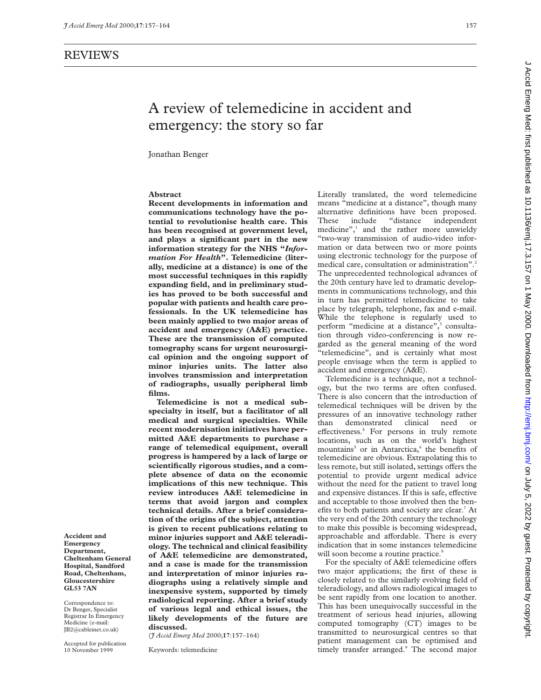**Accident and Emergency Department, Cheltenham General Hospital, Sandford Road, Cheltenham, Gloucestershire GL53 7AN**

Correspondence to: Dr Benger, Specialist Registrar In Emergency Medicine (e-mail: JB2@cableinet.co.uk) Accepted for publication 10 November 1999

# A review of telemedicine in accident and emergency: the story so far

Jonathan Benger

# **Abstract**

**Recent developments in information and communications technology have the potential to revolutionise health care. This has been recognised at government level, and plays a significant part in the new information strategy for the NHS "***Information For Health***". Telemedicine (literally, medicine at a distance) is one of the most successful techniques in this rapidly expanding field, and in preliminary studies has proved to be both successful and popular with patients and health care professionals. In the UK telemedicine has been mainly applied to two major areas of accident and emergency (A&E) practice. These are the transmission of computed tomography scans for urgent neurosurgical opinion and the ongoing support of minor injuries units. The latter also involves transmission and interpretation of radiographs, usually peripheral limb films.**

**Telemedicine is not a medical subspecialty in itself, but a facilitator of all medical and surgical specialties. While recent modernisation initiatives have permitted A&E departments to purchase a range of telemedical equipment, overall progress is hampered by a lack of large or scientifically rigorous studies, and a complete absence of data on the economic implications of this new technique. This review introduces A&E telemedicine in terms that avoid jargon and complex technical details. After a brief consideration of the origins of the subject, attention is given to recent publications relating to minor injuries support and A&E teleradiology. The technical and clinical feasibility of A&E telemedicine are demonstrated, and a case is made for the transmission and interpretation of minor injuries radiographs using a relatively simple and inexpensive system, supported by timely radiological reporting. After a brief study of various legal and ethical issues, the likely developments of the future are discussed.**

(*J Accid Emerg Med* 2000;**17**:157–164)

Keywords: telemedicine

Literally translated, the word telemedicine means "medicine at a distance", though many alternative definitions have been proposed. These include "distance independent medicine",<sup>1</sup> and the rather more unwieldy "two-way transmission of audio-video information or data between two or more points using electronic technology for the purpose of medical care, consultation or administration".<sup>2</sup> The unprecedented technological advances of the 20th century have led to dramatic developments in communications technology, and this in turn has permitted telemedicine to take place by telegraph, telephone, fax and e-mail. While the telephone is regularly used to perform "medicine at a distance",<sup>3</sup> consultation through video-conferencing is now regarded as the general meaning of the word "telemedicine", and is certainly what most people envisage when the term is applied to accident and emergency (A&E).

Telemedicine is a technique, not a technology, but the two terms are often confused. There is also concern that the introduction of telemedical techniques will be driven by the pressures of an innovative technology rather than demonstrated clinical need or  $effectiveness.<sup>4</sup>$  For persons in truly remote locations, such as on the world's highest mountains<sup>5</sup> or in Antarctica,<sup>6</sup> the benefits of telemedicine are obvious. Extrapolating this to less remote, but still isolated, settings offers the potential to provide urgent medical advice without the need for the patient to travel long and expensive distances. If this is safe, effective and acceptable to those involved then the benefits to both patients and society are clear.<sup>7</sup> At the very end of the 20th century the technology to make this possible is becoming widespread, approachable and affordable. There is every indication that in some instances telemedicine will soon become a routine practice.<sup>8</sup>

For the specialty of A&E telemedicine offers two major applications; the first of these is closely related to the similarly evolving field of teleradiology, and allows radiological images to be sent rapidly from one location to another. This has been unequivocally successful in the treatment of serious head injuries, allowing computed tomography (CT) images to be transmitted to neurosurgical centres so that patient management can be optimised and timely transfer arranged.<sup>9</sup> The second major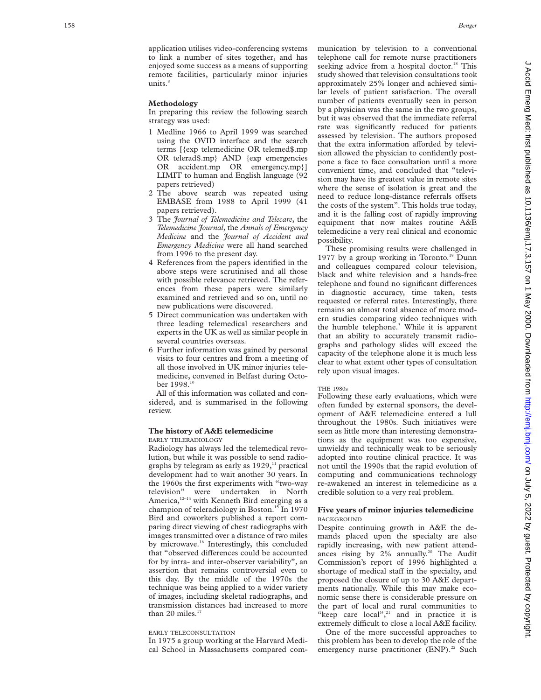application utilises video-conferencing systems to link a number of sites together, and has enjoyed some success as a means of supporting remote facilities, particularly minor injuries units. 8

### **Methodology**

In preparing this review the following search strategy was used:

- 1 Medline 1966 to April 1999 was searched using the OVID interface and the search terms [{exp telemedicine OR telemed\$.mp OR telerad\$.mp} AND {exp emergencies OR accident.mp OR emergency.mp}] LIMIT to human and English language (92 papers retrieved)
- 2 The above search was repeated using EMBASE from 1988 to April 1999 (41 papers retrieved).
- 3 The *Journal of Telemedicine and Telecare*, the *Telemedicine Journal*, the *Annals of Emergency Medicine* and the *Journal of Accident and Emergency Medicine* were all hand searched from 1996 to the present day.
- 4 References from the papers identified in the above steps were scrutinised and all those with possible relevance retrieved. The references from these papers were similarly examined and retrieved and so on, until no new publications were discovered.
- 5 Direct communication was undertaken with three leading telemedical researchers and experts in the UK as well as similar people in several countries overseas.
- 6 Further information was gained by personal visits to four centres and from a meeting of all those involved in UK minor injuries telemedicine, convened in Belfast during October 1998.10

All of this information was collated and considered, and is summarised in the following review.

# **The history of A&E telemedicine**

EARLY TELERADIOLOGY

Radiology has always led the telemedical revolution, but while it was possible to send radiographs by telegram as early as  $1929$ ,<sup>11</sup> practical development had to wait another 30 years. In the 1960s the first experiments with "two-way television" were undertaken in North America,<sup>12-14</sup> with Kenneth Bird emerging as a champion of teleradiology in Boston.<sup>15</sup> In 1970 Bird and coworkers published a report comparing direct viewing of chest radiographs with images transmitted over a distance of two miles by microwave.<sup>16</sup> Interestingly, this concluded that "observed differences could be accounted for by intra- and inter-observer variability", an assertion that remains controversial even to this day. By the middle of the 1970s the technique was being applied to a wider variety of images, including skeletal radiographs, and transmission distances had increased to more than 20 miles.<sup>17</sup>

#### EARLY TELECONSULTATION

In 1975 a group working at the Harvard Medical School in Massachusetts compared com-

munication by television to a conventional telephone call for remote nurse practitioners seeking advice from a hospital doctor.<sup>18</sup> This study showed that television consultations took approximately 25% longer and achieved similar levels of patient satisfaction. The overall number of patients eventually seen in person by a physician was the same in the two groups, but it was observed that the immediate referral rate was significantly reduced for patients assessed by television. The authors proposed that the extra information afforded by television allowed the physician to confidently postpone a face to face consultation until a more convenient time, and concluded that "television may have its greatest value in remote sites where the sense of isolation is great and the need to reduce long-distance referrals offsets the costs of the system". This holds true today, and it is the falling cost of rapidly improving equipment that now makes routine A&E telemedicine a very real clinical and economic possibility.

These promising results were challenged in 1977 by a group working in Toronto.<sup>19</sup> Dunn and colleagues compared colour television, black and white television and a hands-free telephone and found no significant differences in diagnostic accuracy, time taken, tests requested or referral rates. Interestingly, there remains an almost total absence of more modern studies comparing video techniques with the humble telephone. <sup>3</sup> While it is apparent that an ability to accurately transmit radiographs and pathology slides will exceed the capacity of the telephone alone it is much less clear to what extent other types of consultation rely upon visual images.

#### THE 1980s

Following these early evaluations, which were often funded by external sponsors, the development of A&E telemedicine entered a lull throughout the 1980s. Such initiatives were seen as little more than interesting demonstrations as the equipment was too expensive, unwieldy and technically weak to be seriously adopted into routine clinical practice. It was not until the 1990s that the rapid evolution of computing and communications technology re-awakened an interest in telemedicine as a credible solution to a very real problem.

### **Five years of minor injuries telemedicine** BACKGROUND

Despite continuing growth in A&E the demands placed upon the specialty are also rapidly increasing, with new patient attendances rising by  $2\%$  annually.<sup>20</sup> The Audit Commission's report of 1996 highlighted a shortage of medical staff in the specialty, and proposed the closure of up to 30 A&E departments nationally. While this may make economic sense there is considerable pressure on the part of local and rural communities to "keep care local", $21$  and in practice it is extremely difficult to close a local A&E facility.

One of the more successful approaches to this problem has been to develop the role of the emergency nurse practitioner (ENP).<sup>22</sup> Such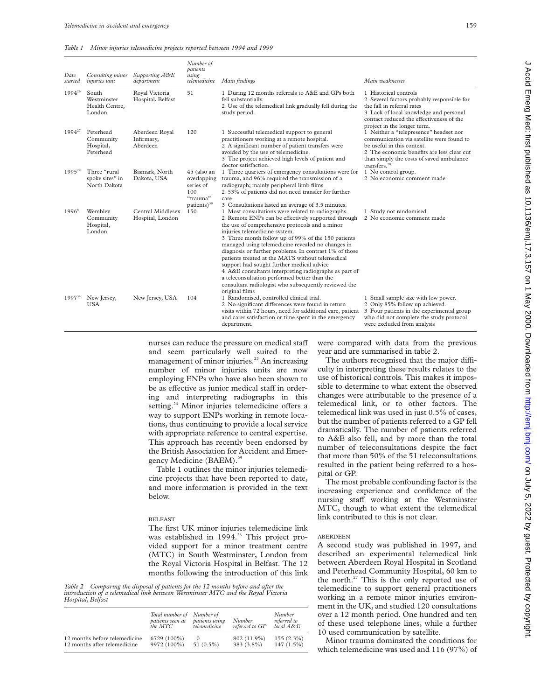*Table 1 Minor injuries telemedicine projects reported between 1994 and 1999*

| Date<br>started    | Consulting minor<br><i>injuries</i> unit         | Supporting A&E<br>department             | Number of<br>patients<br>using<br>telemedicine                                        | Main findings                                                                                                                                                                                                                                                                                                                                                                                                                                                                                                                                                                                                                                       | Main weaknesses                                                                                                                                                                                                                         |
|--------------------|--------------------------------------------------|------------------------------------------|---------------------------------------------------------------------------------------|-----------------------------------------------------------------------------------------------------------------------------------------------------------------------------------------------------------------------------------------------------------------------------------------------------------------------------------------------------------------------------------------------------------------------------------------------------------------------------------------------------------------------------------------------------------------------------------------------------------------------------------------------------|-----------------------------------------------------------------------------------------------------------------------------------------------------------------------------------------------------------------------------------------|
| 1994 <sup>26</sup> | South<br>Westminster<br>Health Centre,<br>London | Royal Victoria<br>Hospital, Belfast      | 51                                                                                    | 1 During 12 months referrals to A&E and GPs both<br>fell substantially.<br>2 Use of the telemedical link gradually fell during the<br>study period.                                                                                                                                                                                                                                                                                                                                                                                                                                                                                                 | 1 Historical controls<br>2 Several factors probably responsible for<br>the fall in referral rates<br>3 Lack of local knowledge and personal<br>contact reduced the effectiveness of the<br>project in the longer term.                  |
| $1994^{27}$        | Peterhead<br>Community<br>Hospital,<br>Peterhead | Aberdeen Royal<br>Infirmary,<br>Aberdeen | 120                                                                                   | 1 Successful telemedical support to general<br>practitioners working at a remote hospital.<br>2 A significant number of patient transfers were<br>avoided by the use of telemedicine.<br>3 The project achieved high levels of patient and<br>doctor satisfaction.                                                                                                                                                                                                                                                                                                                                                                                  | 1 Neither a "telepresence" headset nor<br>communication via satellite were found to<br>be useful in this context.<br>2 The economic benefits are less clear cut<br>than simply the costs of saved ambulance<br>transfers. <sup>28</sup> |
| $1995^{29}$        | Three "rural<br>spoke sites" in<br>North Dakota  | Bismark, North<br>Dakota, USA            | 45 (also an<br>overlapping<br>series of<br>100<br>"trauma"<br>patients) <sup>30</sup> | 1 Three quarters of emergency consultations were for<br>trauma, and 96% required the transmission of a<br>radiograph; mainly peripheral limb films<br>2 53% of patients did not need transfer for further<br>care<br>3 Consultations lasted an average of 3.5 minutes.                                                                                                                                                                                                                                                                                                                                                                              | 1 No control group.<br>2 No economic comment made                                                                                                                                                                                       |
| $1996^8$           | Wembley<br>Community<br>Hospital,<br>London      | Central Middlesex<br>Hospital, London    | 150                                                                                   | 1 Most consultations were related to radiographs.<br>2 Remote ENPs can be effectively supported through<br>the use of comprehensive protocols and a minor<br>injuries telemedicine system.<br>3 Three month follow up of 99% of the 150 patients<br>managed using telemedicine revealed no changes in<br>diagnosis or further problems. In contrast 1% of those<br>patients treated at the MATS without telemedical<br>support had sought further medical advice<br>4 A&E consultants interpreting radiographs as part of<br>a teleconsultation performed better than the<br>consultant radiologist who subsequently reviewed the<br>original films | 1 Study not randomised<br>2 No economic comment made                                                                                                                                                                                    |
| $1997^{34}$        | New Jersey,<br><b>USA</b>                        | New Jersey, USA                          | 104                                                                                   | 1 Randomised, controlled clinical trial.<br>2 No significant differences were found in return<br>visits within 72 hours, need for additional care, patient<br>and carer satisfaction or time spent in the emergency<br>department.                                                                                                                                                                                                                                                                                                                                                                                                                  | 1 Small sample size with low power.<br>2 Only 85% follow up achieved.<br>3 Four patients in the experimental group<br>who did not complete the study protocol<br>were excluded from analysis                                            |

nurses can reduce the pressure on medical staff and seem particularly well suited to the management of minor injuries. $^{23}$  An increasing number of minor injuries units are now employing ENPs who have also been shown to be as effective as junior medical staff in ordering and interpreting radiographs in this setting.<sup>24</sup> Minor injuries telemedicine offers a way to support ENPs working in remote locations, thus continuing to provide a local service with appropriate reference to central expertise. This approach has recently been endorsed by the British Association for Accident and Emergency Medicine (BAEM).<sup>25</sup>

Table 1 outlines the minor injuries telemedicine projects that have been reported to date, and more information is provided in the text below.

#### BELFAST

The first UK minor injuries telemedicine link was established in 1994.<sup>26</sup> This project provided support for a minor treatment centre (MTC) in South Westminster, London from the Royal Victoria Hospital in Belfast. The 12 months following the introduction of this link

*Table 2 Comparing the disposal of patients for the 12 months before and after the introduction of a telemedical link between Westminster MTC and the Royal Victoria Hospital, Belfast*

|                               | Total number of<br>patients seen at<br>the MTC | Number of<br>patients using<br>telemedicine | Number<br>referred to GP | Number<br>referred to<br>local A&E |
|-------------------------------|------------------------------------------------|---------------------------------------------|--------------------------|------------------------------------|
| 12 months before telemedicine | 6729 (100%)                                    | $51(0.5\%)$                                 | 802 (11.9%)              | $155(2.3\%)$                       |
| 12 months after telemedicine  | 9972 (100%)                                    |                                             | 383 (3.8%)               | $147(1.5\%)$                       |

were compared with data from the previous year and are summarised in table 2.

The authors recognised that the major difficulty in interpreting these results relates to the use of historical controls. This makes it impossible to determine to what extent the observed changes were attributable to the presence of a telemedical link, or to other factors. The telemedical link was used in just 0.5% of cases, but the number of patients referred to a GP fell dramatically. The number of patients referred to A&E also fell, and by more than the total number of teleconsultations despite the fact that more than 50% of the 51 teleconsultations resulted in the patient being referred to a hospital or GP.

The most probable confounding factor is the increasing experience and confidence of the nursing staff working at the Westminster MTC, though to what extent the telemedical link contributed to this is not clear.

#### ABERDEEN

A second study was published in 1997, and described an experimental telemedical link between Aberdeen Royal Hospital in Scotland and Peterhead Community Hospital, 60 km to the north. $27$  This is the only reported use of telemedicine to support general practitioners working in a remote minor injuries environment in the UK, and studied 120 consultations over a 12 month period. One hundred and ten of these used telephone lines, while a further 10 used communication by satellite.

Minor trauma dominated the conditions for which telemedicine was used and 116 (97%) of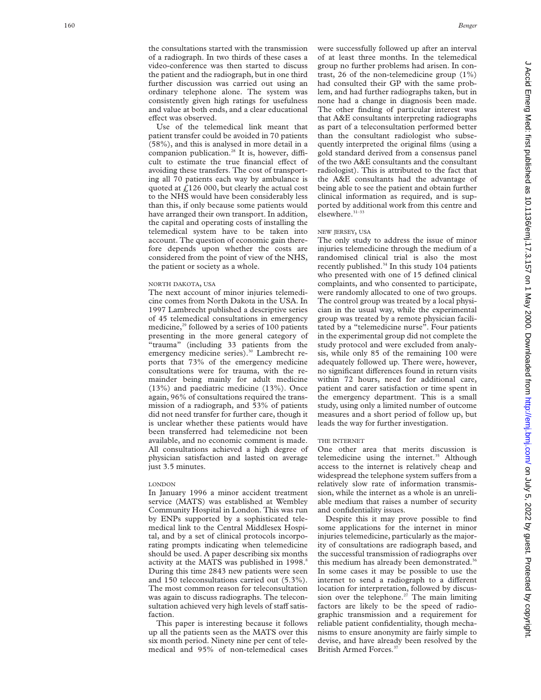the consultations started with the transmission of a radiograph. In two thirds of these cases a video-conference was then started to discuss the patient and the radiograph, but in one third further discussion was carried out using an ordinary telephone alone. The system was consistently given high ratings for usefulness and value at both ends, and a clear educational effect was observed.

Use of the telemedical link meant that patient transfer could be avoided in 70 patients (58%), and this is analysed in more detail in a companion publication.<sup>28</sup> It is, however, difficult to estimate the true financial effect of avoiding these transfers. The cost of transporting all 70 patients each way by ambulance is quoted at  $\frac{1}{2}$ 126 000, but clearly the actual cost to the NHS would have been considerably less than this, if only because some patients would have arranged their own transport. In addition, the capital and operating costs of installing the telemedical system have to be taken into account. The question of economic gain therefore depends upon whether the costs are considered from the point of view of the NHS, the patient or society as a whole.

#### NORTH DAKOTA, USA

The next account of minor injuries telemedicine comes from North Dakota in the USA. In 1997 Lambrecht published a descriptive series of 45 telemedical consultations in emergency medicine, $29$  followed by a series of 100 patients presenting in the more general category of "trauma" (including 33 patients from the emergency medicine series).<sup>30</sup> Lambrecht reports that 73% of the emergency medicine consultations were for trauma, with the remainder being mainly for adult medicine (13%) and paediatric medicine (13%). Once again, 96% of consultations required the transmission of a radiograph, and 53% of patients did not need transfer for further care, though it is unclear whether these patients would have been transferred had telemedicine not been available, and no economic comment is made. All consultations achieved a high degree of physician satisfaction and lasted on average just 3.5 minutes.

#### LONDON

In January 1996 a minor accident treatment service (MATS) was established at Wembley Community Hospital in London. This was run by ENPs supported by a sophisticated telemedical link to the Central Middlesex Hospital, and by a set of clinical protocols incorporating prompts indicating when telemedicine should be used. A paper describing six months activity at the MATS was published in 1998. 8 During this time 2843 new patients were seen and 150 teleconsultations carried out (5.3%). The most common reason for teleconsultation was again to discuss radiographs. The teleconsultation achieved very high levels of staff satisfaction.

This paper is interesting because it follows up all the patients seen as the MATS over this six month period. Ninety nine per cent of telemedical and 95% of non-telemedical cases

were successfully followed up after an interval of at least three months. In the telemedical group no further problems had arisen. In contrast, 26 of the non-telemedicine group (1%) had consulted their GP with the same problem, and had further radiographs taken, but in none had a change in diagnosis been made. The other finding of particular interest was that A&E consultants interpreting radiographs as part of a teleconsultation performed better than the consultant radiologist who subsequently interpreted the original films (using a gold standard derived from a consensus panel of the two A&E consultants and the consultant radiologist). This is attributed to the fact that the A&E consultants had the advantage of being able to see the patient and obtain further clinical information as required, and is supported by additional work from this centre and elsewhere.  $^{\rm 31-33}$ 

## NEW JERSEY, USA

The only study to address the issue of minor injuries telemedicine through the medium of a randomised clinical trial is also the most recently published.<sup>34</sup> In this study 104 patients who presented with one of 15 defined clinical complaints, and who consented to participate, were randomly allocated to one of two groups. The control group was treated by a local physician in the usual way, while the experimental group was treated by a remote physician facilitated by a "telemedicine nurse". Four patients in the experimental group did not complete the study protocol and were excluded from analysis, while only 85 of the remaining 100 were adequately followed up. There were, however, no significant differences found in return visits within 72 hours, need for additional care, patient and carer satisfaction or time spent in the emergency department. This is a small study, using only a limited number of outcome measures and a short period of follow up, but leads the way for further investigation.

#### THE INTERNET

One other area that merits discussion is telemedicine using the internet.<sup>35</sup> Although access to the internet is relatively cheap and widespread the telephone system suffers from a relatively slow rate of information transmission, while the internet as a whole is an unreliable medium that raises a number of security and confidentiality issues.

Despite this it may prove possible to find some applications for the internet in minor injuries telemedicine, particularly as the majority of consultations are radiograph based, and the successful transmission of radiographs over this medium has already been demonstrated.<sup>36</sup> In some cases it may be possible to use the internet to send a radiograph to a different location for interpretation, followed by discussion over the telephone.<sup>27</sup> The main limiting factors are likely to be the speed of radiographic transmission and a requirement for reliable patient confidentiality, though mechanisms to ensure anonymity are fairly simple to devise, and have already been resolved by the British Armed Forces.<sup>3</sup>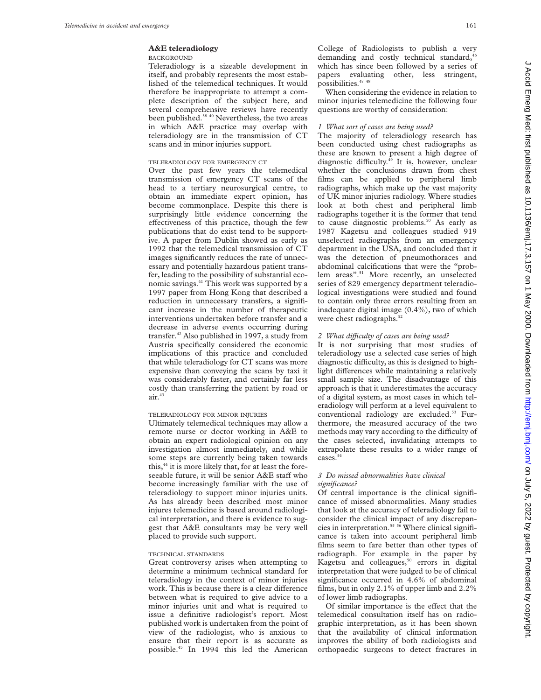# **A&E teleradiology**

#### **BACKGROUND**

Teleradiology is a sizeable development in itself, and probably represents the most established of the telemedical techniques. It would therefore be inappropriate to attempt a complete description of the subject here, and several comprehensive reviews have recently been published.<sup>38-40</sup> Nevertheless, the two areas in which A&E practice may overlap with teleradiology are in the transmission of CT scans and in minor injuries support.

## TELERADIOLOGY FOR EMERGENCY CT

Over the past few years the telemedical transmission of emergency CT scans of the head to a tertiary neurosurgical centre, to obtain an immediate expert opinion, has become commonplace. Despite this there is surprisingly little evidence concerning the effectiveness of this practice, though the few publications that do exist tend to be supportive. A paper from Dublin showed as early as 1992 that the telemedical transmission of CT images significantly reduces the rate of unnecessary and potentially hazardous patient transfer, leading to the possibility of substantial economic savings.41 This work was supported by a 1997 paper from Hong Kong that described a reduction in unnecessary transfers, a significant increase in the number of therapeutic interventions undertaken before transfer and a decrease in adverse events occurring during transfer.<sup>42</sup> Also published in 1997, a study from Austria specifically considered the economic implications of this practice and concluded that while teleradiology for CT scans was more expensive than conveying the scans by taxi it was considerably faster, and certainly far less costly than transferring the patient by road or  $air.<sup>43</sup>$ 

#### TELERADIOLOGY FOR MINOR INJURIES

Ultimately telemedical techniques may allow a remote nurse or doctor working in A&E to obtain an expert radiological opinion on any investigation almost immediately, and while some steps are currently being taken towards this,<sup>44</sup> it is more likely that, for at least the foreseeable future, it will be senior A&E staff who become increasingly familiar with the use of teleradiology to support minor injuries units. As has already been described most minor injures telemedicine is based around radiological interpretation, and there is evidence to suggest that A&E consultants may be very well placed to provide such support.

# TECHNICAL STANDARDS

Great controversy arises when attempting to determine a minimum technical standard for teleradiology in the context of minor injuries work. This is because there is a clear difference between what is required to give advice to a minor injuries unit and what is required to issue a definitive radiologist's report. Most published work is undertaken from the point of view of the radiologist, who is anxious to ensure that their report is as accurate as possible.45 In 1994 this led the American

College of Radiologists to publish a very demanding and costly technical standard,<sup>4</sup> which has since been followed by a series of papers evaluating other, less stringent, possibilities.<sup>47</sup> 4

When considering the evidence in relation to minor injuries telemedicine the following four questions are worthy of consideration:

# *1 What sort of cases are being used?*

The majority of teleradiology research has been conducted using chest radiographs as these are known to present a high degree of diagnostic difficulty.<sup>49</sup> It is, however, unclear whether the conclusions drawn from chest films can be applied to peripheral limb radiographs, which make up the vast majority of UK minor injuries radiology. Where studies look at both chest and peripheral limb radiographs together it is the former that tend to cause diagnostic problems.<sup>50</sup> As early as 1987 Kagetsu and colleagues studied 919 unselected radiographs from an emergency department in the USA, and concluded that it was the detection of pneumothoraces and abdominal calcifications that were the "problem areas".<sup>51</sup> More recently, an unselected series of 829 emergency department teleradiological investigations were studied and found to contain only three errors resulting from an inadequate digital image (0.4%), two of which were chest radiographs.<sup>52</sup>

### *2 What diYculty of cases are being used?*

It is not surprising that most studies of teleradiology use a selected case series of high diagnostic difficulty, as this is designed to highlight differences while maintaining a relatively small sample size. The disadvantage of this approach is that it underestimates the accuracy of a digital system, as most cases in which teleradiology will perform at a level equivalent to conventional radiology are excluded.<sup>53</sup> Furthermore, the measured accuracy of the two methods may vary according to the difficulty of the cases selected, invalidating attempts to extrapolate these results to a wider range of cases.<sup>5</sup>

## *3 Do missed abnormalities have clinical significance?*

Of central importance is the clinical significance of missed abnormalities. Many studies that look at the accuracy of teleradiology fail to consider the clinical impact of any discrepancies in interpretation.<sup>55 56</sup> Where clinical significance is taken into account peripheral limb films seem to fare better than other types of radiograph. For example in the paper by Kagetsu and colleagues, $50$  errors in digital interpretation that were judged to be of clinical significance occurred in 4.6% of abdominal films, but in only 2.1% of upper limb and 2.2% of lower limb radiographs.

Of similar importance is the effect that the telemedical consultation itself has on radiographic interpretation, as it has been shown that the availability of clinical information improves the ability of both radiologists and orthopaedic surgeons to detect fractures in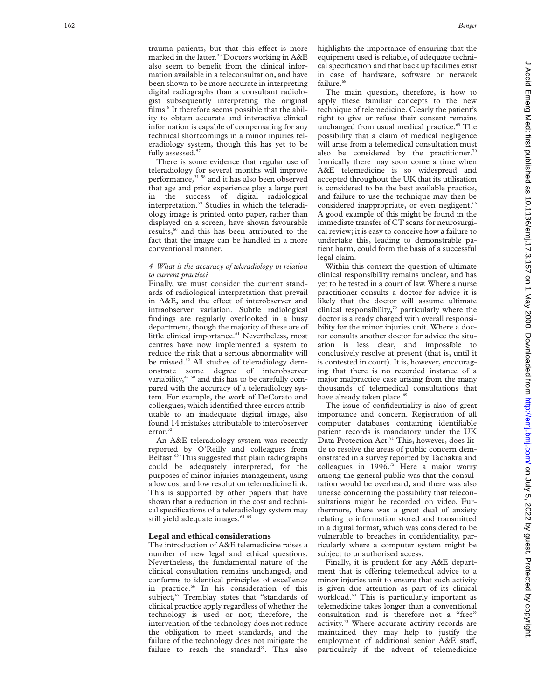trauma patients, but that this effect is more marked in the latter.<sup>33</sup> Doctors working in A&E also seem to benefit from the clinical information available in a teleconsultation, and have been shown to be more accurate in interpreting digital radiographs than a consultant radiologist subsequently interpreting the original films. <sup>8</sup> It therefore seems possible that the ability to obtain accurate and interactive clinical information is capable of compensating for any technical shortcomings in a minor injuries teleradiology system, though this has yet to be fully assessed.<sup>57</sup>

There is some evidence that regular use of teleradiology for several months will improve performance,<sup>31</sup> <sup>58</sup> and it has also been observed that age and prior experience play a large part in the success of digital radiological interpretation.59 Studies in which the teleradiology image is printed onto paper, rather than displayed on a screen, have shown favourable results,<sup>60</sup> and this has been attributed to the fact that the image can be handled in a more conventional manner.

# *4 What is the accuracy of teleradiology in relation to current practice?*

Finally, we must consider the current standards of radiological interpretation that prevail in A&E, and the effect of interobserver and intraobserver variation. Subtle radiological findings are regularly overlooked in a busy department, though the majority of these are of little clinical importance.<sup>61</sup> Nevertheless, most centres have now implemented a system to reduce the risk that a serious abnormality will be missed.<sup>62</sup> All studies of teleradiology demonstrate some degree of interobserver variability,<sup>45 50</sup> and this has to be carefully compared with the accuracy of a teleradiology system. For example, the work of DeCorato and colleagues, which identified three errors attributable to an inadequate digital image, also found 14 mistakes attributable to interobserver error.<sup>52</sup>

An A&E teleradiology system was recently reported by O'Reilly and colleagues from Belfast.<sup>63</sup> This suggested that plain radiographs could be adequately interpreted, for the purposes of minor injuries management, using a low cost and low resolution telemedicine link. This is supported by other papers that have shown that a reduction in the cost and technical specifications of a teleradiology system may still yield adequate images.<sup>64 65</sup>

## **Legal and ethical considerations**

The introduction of A&E telemedicine raises a number of new legal and ethical questions. Nevertheless, the fundamental nature of the clinical consultation remains unchanged, and conforms to identical principles of excellence in practice.<sup>66</sup> In his consideration of this subject,<sup>67</sup> Tremblay states that "standards of clinical practice apply regardless of whether the technology is used or not; therefore, the intervention of the technology does not reduce the obligation to meet standards, and the failure of the technology does not mitigate the failure to reach the standard". This also

highlights the importance of ensuring that the equipment used is reliable, of adequate technical specification and that back up facilities exist in case of hardware, software or network failure.<sup>6</sup>

The main question, therefore, is how to apply these familiar concepts to the new technique of telemedicine. Clearly the patient's right to give or refuse their consent remains unchanged from usual medical practice.<sup>69</sup> The possibility that a claim of medical negligence will arise from a telemedical consultation must also be considered by the practitioner.<sup>70</sup> Ironically there may soon come a time when A&E telemedicine is so widespread and accepted throughout the UK that its utilisation is considered to be the best available practice, and failure to use the technique may then be considered inappropriate, or even negligent.<sup>6</sup> A good example of this might be found in the immediate transfer of CT scans for neurosurgical review; it is easy to conceive how a failure to undertake this, leading to demonstrable patient harm, could form the basis of a successful legal claim.

Within this context the question of ultimate clinical responsibility remains unclear, and has yet to be tested in a court of law. Where a nurse practitioner consults a doctor for advice it is likely that the doctor will assume ultimate clinical responsibility, $70$  particularly where the doctor is already charged with overall responsibility for the minor injuries unit. Where a doctor consults another doctor for advice the situation is less clear, and impossible to conclusively resolve at present (that is, until it is contested in court). It is, however, encouraging that there is no recorded instance of a major malpractice case arising from the many thousands of telemedical consultations that have already taken place.<sup>6</sup>

The issue of confidentiality is also of great importance and concern. Registration of all computer databases containing identifiable patient records is mandatory under the UK Data Protection Act.<sup>71</sup> This, however, does little to resolve the areas of public concern demonstrated in a survey reported by Tachakra and colleagues in 1996.72 Here a major worry among the general public was that the consultation would be overheard, and there was also unease concerning the possibility that teleconsultations might be recorded on video. Furthermore, there was a great deal of anxiety relating to information stored and transmitted in a digital format, which was considered to be vulnerable to breaches in confidentiality, particularly where a computer system might be subject to unauthorised access.

Finally, it is prudent for any A&E department that is offering telemedical advice to a minor injuries unit to ensure that such activity is given due attention as part of its clinical workload.<sup>68</sup> This is particularly important as telemedicine takes longer than a conventional consultation and is therefore not a "free" activity.73 Where accurate activity records are maintained they may help to justify the employment of additional senior A&E staff, particularly if the advent of telemedicine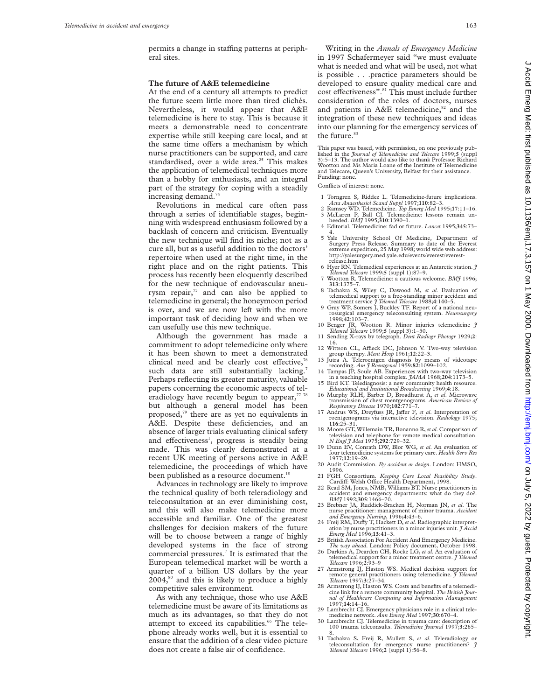permits a change in staffing patterns at peripheral sites.

# **The future of A&E telemedicine**

At the end of a century all attempts to predict the future seem little more than tired clichés. Nevertheless, it would appear that A&E telemedicine is here to stay. This is because it meets a demonstrable need to concentrate expertise while still keeping care local, and at the same time offers a mechanism by which nurse practitioners can be supported, and care standardised, over a wide area.<sup>25</sup> This makes the application of telemedical techniques more than a hobby for enthusiasts, and an integral part of the strategy for coping with a steadily increasing demand.<sup>74</sup>

Revolutions in medical care often pass through a series of identifiable stages, beginning with widespread enthusiasm followed by a backlash of concern and criticism. Eventually the new technique will find its niche; not as a cure all, but as a useful addition to the doctors' repertoire when used at the right time, in the right place and on the right patients. This process has recently been eloquently described for the new technique of endovascular aneurysm repair,<sup>75</sup> and can also be applied to telemedicine in general; the honeymoon period is over, and we are now left with the more important task of deciding how and when we can usefully use this new technique.

Although the government has made a commitment to adopt telemedicine only where it has been shown to meet a demonstrated clinical need and be clearly cost effective, $76$ such data are still substantially lacking.<sup>7</sup> Perhaps reflecting its greater maturity, valuable papers concerning the economic aspects of teleradiology have recently begun to appear, $7778$ but although a general model has been proposed,79 there are as yet no equivalents in A&E. Despite these deficiencies, and an absence of larger trials evaluating clinical safety and effectiveness<sup>1</sup>, progress is steadily being made. This was clearly demonstrated at a recent UK meeting of persons active in A&E telemedicine, the proceedings of which have been published as a resource document.<sup>1</sup>

Advances in technology are likely to improve the technical quality of both teleradiology and teleconsultation at an ever diminishing cost, and this will also make telemedicine more accessible and familiar. One of the greatest challenges for decision makers of the future will be to choose between a range of highly developed systems in the face of strong commercial pressures.7 It is estimated that the European telemedical market will be worth a quarter of a billion US dollars by the year  $2004$ ,<sup>80</sup> and this is likely to produce a highly competitive sales environment.

As with any technique, those who use A&E telemedicine must be aware of its limitations as much as its advantages, so that they do not attempt to exceed its capabilities.<sup>66</sup> The telephone already works well, but it is essential to ensure that the addition of a clear video picture does not create a false air of confidence.

Writing in the *Annals of Emergency Medicine* in 1997 Schafermeyer said "we must evaluate what is needed and what will be used, not what is possible . . .practice parameters should be developed to ensure quality medical care and cost effectiveness".<sup>81</sup> This must include further consideration of the roles of doctors, nurses and patients in  $A\&E$  telemedicine,<sup>82</sup> and the integration of these new techniques and ideas into our planning for the emergency services of the future.<sup>83</sup>

This paper was based, with permission, on one previously pub-<br>lished in the *Yournal of Telemedicine and Telecare* 1999:5 (suppl lished in the *Journal of Telemedicine and Telecare* 1999;5 3):5–13. The author would also like to thank Professor Richard Wootton and Ms Maria Loane of the Institute of Telemedicine and Telecare, Queen's University, Belfast for their assistance. Funding: none.

Conflicts of interest: none.

- 1 Torngren S, Riddez L. Telemedicine-future implications. *Acta Anaesthesiol Scand Suppl* 1997;**110**:82–3.
- 
- 2 Ramsey WD. Telemedicine. *Top Emerg Med* 1995;**17**:11–16. 3 McLaren P, Ball CJ. Telemedicine: lessons remain unheeded. *BMJ* 1995;**310**:1390–1.
- 4 Editorial. Telemedicine: fad or future. *Lancet* 1995;**345**:73– 4.
- 5 Yale University School Of Medicine, Department of Surgery Press Release. Summary to date of the Everest extreme expedition, 25 May 1998; world wide web address: http://yalesurgery.med.yale.edu/events/everest/everestrelease.htm
- 
- 6 Hyer RN. Telemedical experiences at an Antarctic station. *J Telemed Telecare* 1999;**5** (suppl 1):87–9. 7 Wootton R. Telemedicine: a cautious welcome. *BMJ* 1996; **313**:1375–7.
- 8 Tachakra S, Wiley C, Dawood M, *et al*. Evaluation of telemedical support to a free-standing minor accident and treatment service *J Telemed Telecare* 1988;**4**:140–5.
- 9 Gray WP, Somers J, Buckley TF. Report of a national neurosurgical emergency teleconsulting system. *Neurosurgery* 1998;**42**:103–7. 10 Benger JR, Wootton R. Minor injuries telemedicine *<sup>J</sup>*
- 
- *Telemed Telecare* 1999;**5** (suppl 3):1–50. 11 Sending X-rays by telegraph. *Dent Radiogr Photogr* 1929;**2**: 16.
- 12 Wittson CL, Affleck DC, Johnson V. Two-way television group therapy. *Ment Hosp* 1961;12:22-3. 13 Jutra A. Teleroentgen diagnosis by means of videotape
- recording. *Am J Roentgenol* 1959;**82**:1099–102. 14 Tampas JP, Soule AB. Experiences with two-way television
- in a teaching hospital complex. *JAMA* 1968;**204**:1173–5. 15 Bird KT. Telediagnosis: a new community health resource.
- *Educational and Institutional Broadcasting* 1969;**4**:18. 16 Murphy RLH, Barber D, Broadhurst A, *et al*. Microwave
- transmission of chest roentgenograms. *American Review of*
- *Respiratory Disease* 1970;**102**:771–7. 17 Andrus WS, Dreyfuss JR, JaVer F, *et al*. Interpretation of roentgenograms via interactive television. *Radiology* 1975; **116**:25–31.
- 18 Moore GT, Willemain TR, Bonanno R,*et al*. Comparison of
- television and telephone for remote medical consultation.<br> *N Engl 3 Med* 1975;292:729–32.<br>
19 Dunn EV, Conrath DW, Blor WG, *et al.* An evaluation of<br>
four telemedicine systems for primary care. *Health Serv Res* 1977;**12**:19–29.
- 20 Audit Commission. *By accident or design*. London: HMSO, 1996.
- 21 FGH Consortium. *Keeping Care Local Feasibility Study*. Cardiff: Welsh Office Health Department, 1998.<br>22 Read SM, Jones, NMB, Williams BT. Nurse practitioners in
- accident and emergency departments: what do they do?. *BMJ* 1992;**305**:1466–70.
- 23 Brebner JA, Ruddick-Bracken H, Norman JN, *et al*. The nurse practitioner: management of minor trauma. *Accident and Emergency Nursing*, 1996;**4**:43–6.
- 24 Freij RM, Duffy T, Hackett D, *et al.* Radiographic interpretation by nurse practitioners in a minor injuries unit. *J Accid Emerg Med* 1996;**13**:41–3. 25 British Association For Accident And Emergency Medicine.
- 
- *The way ahead*. London: Policy document, October 1998. 26 Darkins A, Dearden CH, Rocke LG, *et al*. An evaluation of telemedical support for a minor treatment centre. *J Telemed Telecare* 1996;**2**:93–9
- 27 Armstrong IJ, Haston WS. Medical decision support for remote general practitioners using telemedicine. *J Telemed Telecare* 1997;3:27–34.
- Telecare 1997;3:27-34.<br>28 Armstrong IJ, Haston WS. Costs and benefits of a telemedi-<br>cine link for a remote community hospital. The British Jour-<br>nal of Healthcare Computing and Information Management 1997;**14**:14–16.
- 29 Lambrecht CJ. Emergency physicians role in a clinical tele-medicine network. *Ann Emerg Med* 1997;**30**:670–4. 30 Lambrecht CJ. Telemedicine in trauma care: description of
- 100 trauma teleconsults. *Telemedicine Journal* 1997;**3**:265–
- 8. 31 Tachakra S, Freij R, Mullett S, *et al*. Teleradiology or teleconsultation for emergency nurse practitioners? *J Telemed Telecare* 1996;**2** (suppl 1):56–8.